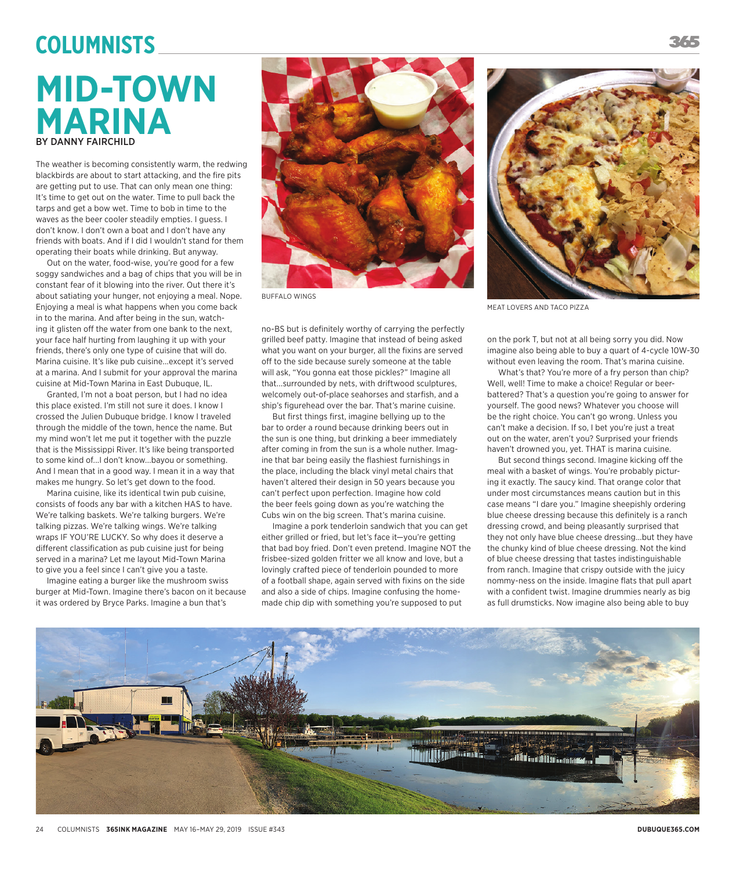## **MID-TOWN MARINA** BY DANNY FAIRCHILD **Columnists**

The weather is becoming consistently warm, the redwing blackbirds are about to start attacking, and the fire pits are getting put to use. That can only mean one thing: It's time to get out on the water. Time to pull back the tarps and get a bow wet. Time to bob in time to the waves as the beer cooler steadily empties. I guess. I don't know. I don't own a boat and I don't have any friends with boats. And if I did I wouldn't stand for them operating their boats while drinking. But anyway.

Out on the water, food-wise, you're good for a few soggy sandwiches and a bag of chips that you will be in constant fear of it blowing into the river. Out there it's about satiating your hunger, not enjoying a meal. Nope. Enjoying a meal is what happens when you come back in to the marina. And after being in the sun, watching it glisten off the water from one bank to the next, your face half hurting from laughing it up with your friends, there's only one type of cuisine that will do. Marina cuisine. It's like pub cuisine...except it's served at a marina. And I submit for your approval the marina cuisine at Mid-Town Marina in East Dubuque, IL.

Granted, I'm not a boat person, but I had no idea this place existed. I'm still not sure it does. I know I crossed the Julien Dubuque bridge. I know I traveled through the middle of the town, hence the name. But my mind won't let me put it together with the puzzle that is the Mississippi River. It's like being transported to some kind of...I don't know...bayou or something. And I mean that in a good way. I mean it in a way that makes me hungry. So let's get down to the food.

Marina cuisine, like its identical twin pub cuisine, consists of foods any bar with a kitchen HAS to have. We're talking baskets. We're talking burgers. We're talking pizzas. We're talking wings. We're talking wraps IF YOU'RE LUCKY. So why does it deserve a different classification as pub cuisine just for being served in a marina? Let me layout Mid-Town Marina to give you a feel since I can't give you a taste.

Imagine eating a burger like the mushroom swiss burger at Mid-Town. Imagine there's bacon on it because it was ordered by Bryce Parks. Imagine a bun that's



BUFFALO WINGS

no-BS but is definitely worthy of carrying the perfectly grilled beef patty. Imagine that instead of being asked what you want on your burger, all the fixins are served off to the side because surely someone at the table will ask, "You gonna eat those pickles?" Imagine all that...surrounded by nets, with driftwood sculptures, welcomely out-of-place seahorses and starfish, and a ship's figurehead over the bar. That's marine cuisine.

But first things first, imagine bellying up to the bar to order a round because drinking beers out in the sun is one thing, but drinking a beer immediately after coming in from the sun is a whole nuther. Imagine that bar being easily the flashiest furnishings in the place, including the black vinyl metal chairs that haven't altered their design in 50 years because you can't perfect upon perfection. Imagine how cold the beer feels going down as you're watching the Cubs win on the big screen. That's marina cuisine.

Imagine a pork tenderloin sandwich that you can get either grilled or fried, but let's face it—you're getting that bad boy fried. Don't even pretend. Imagine NOT the frisbee-sized golden fritter we all know and love, but a lovingly crafted piece of tenderloin pounded to more of a football shape, again served with fixins on the side and also a side of chips. Imagine confusing the homemade chip dip with something you're supposed to put



MEAT LOVERS AND TACO PIZZA

on the pork T, but not at all being sorry you did. Now imagine also being able to buy a quart of 4-cycle 10W-30 without even leaving the room. That's marina cuisine.

What's that? You're more of a fry person than chip? Well, well! Time to make a choice! Regular or beerbattered? That's a question you're going to answer for yourself. The good news? Whatever you choose will be the right choice. You can't go wrong. Unless you can't make a decision. If so, I bet you're just a treat out on the water, aren't you? Surprised your friends haven't drowned you, yet. THAT is marina cuisine.

But second things second. Imagine kicking off the meal with a basket of wings. You're probably picturing it exactly. The saucy kind. That orange color that under most circumstances means caution but in this case means "I dare you." Imagine sheepishly ordering blue cheese dressing because this definitely is a ranch dressing crowd, and being pleasantly surprised that they not only have blue cheese dressing...but they have the chunky kind of blue cheese dressing. Not the kind of blue cheese dressing that tastes indistinguishable from ranch. Imagine that crispy outside with the juicy nommy-ness on the inside. Imagine flats that pull apart with a confident twist. Imagine drummies nearly as big as full drumsticks. Now imagine also being able to buy